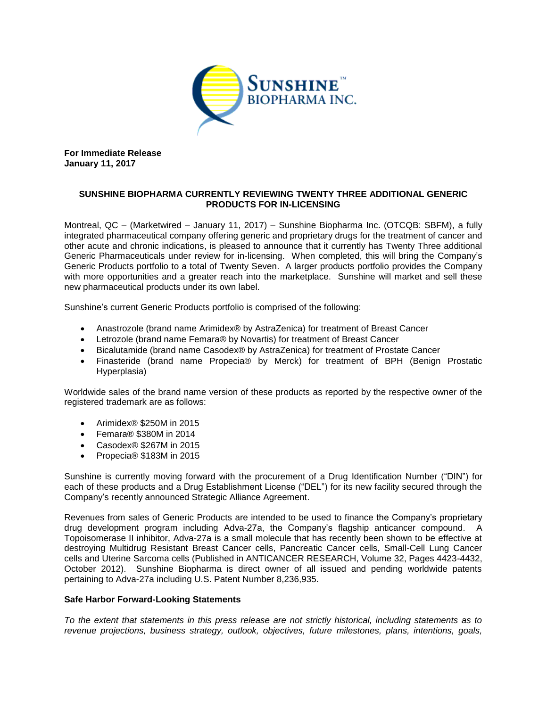

**For Immediate Release January 11, 2017**

## **SUNSHINE BIOPHARMA CURRENTLY REVIEWING TWENTY THREE ADDITIONAL GENERIC PRODUCTS FOR IN-LICENSING**

Montreal, QC – (Marketwired – January 11, 2017) – Sunshine Biopharma Inc. (OTCQB: SBFM), a fully integrated pharmaceutical company offering generic and proprietary drugs for the treatment of cancer and other acute and chronic indications, is pleased to announce that it currently has Twenty Three additional Generic Pharmaceuticals under review for in-licensing. When completed, this will bring the Company's Generic Products portfolio to a total of Twenty Seven. A larger products portfolio provides the Company with more opportunities and a greater reach into the marketplace. Sunshine will market and sell these new pharmaceutical products under its own label.

Sunshine's current Generic Products portfolio is comprised of the following:

- Anastrozole (brand name Arimidex® by AstraZenica) for treatment of Breast Cancer
- Letrozole (brand name Femara® by Novartis) for treatment of Breast Cancer
- Bicalutamide (brand name Casodex® by AstraZenica) for treatment of Prostate Cancer
- Finasteride (brand name Propecia® by Merck) for treatment of BPH (Benign Prostatic Hyperplasia)

Worldwide sales of the brand name version of these products as reported by the respective owner of the registered trademark are as follows:

- Arimidex® \$250M in 2015
- Femara® \$380M in 2014
- Casodex® \$267M in 2015
- Propecia® \$183M in 2015

Sunshine is currently moving forward with the procurement of a Drug Identification Number ("DIN") for each of these products and a Drug Establishment License ("DEL") for its new facility secured through the Company's recently announced Strategic Alliance Agreement.

Revenues from sales of Generic Products are intended to be used to finance the Company's proprietary drug development program including Adva-27a, the Company's flagship anticancer compound. A Topoisomerase II inhibitor, Adva-27a is a small molecule that has recently been shown to be effective at destroying Multidrug Resistant Breast Cancer cells, Pancreatic Cancer cells, Small-Cell Lung Cancer cells and Uterine Sarcoma cells (Published in ANTICANCER RESEARCH, Volume 32, Pages 4423-4432, October 2012). Sunshine Biopharma is direct owner of all issued and pending worldwide patents pertaining to Adva-27a including U.S. Patent Number 8,236,935.

## **Safe Harbor Forward-Looking Statements**

*To the extent that statements in this press release are not strictly historical, including statements as to revenue projections, business strategy, outlook, objectives, future milestones, plans, intentions, goals,*